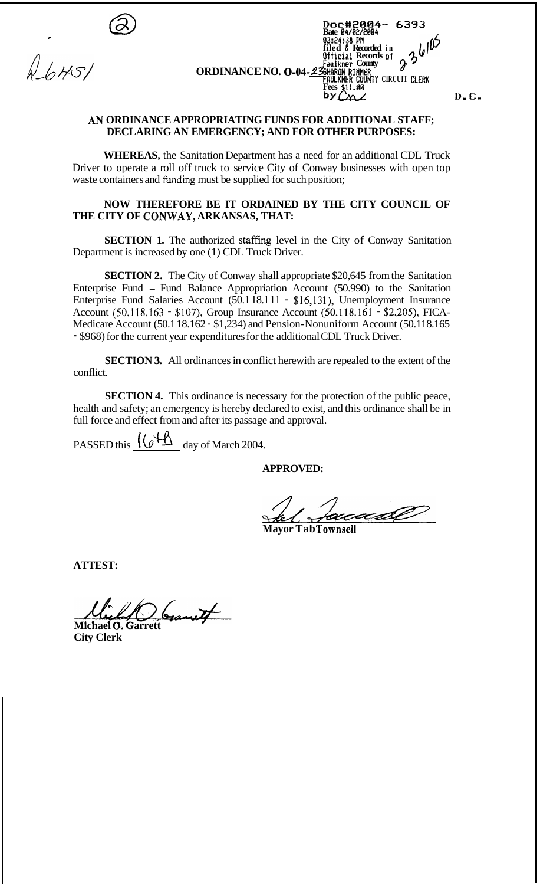| -<br>₩ | Doc#2004-<br>6393<br>Bate 04/02/2004<br>03:24:38 PM<br>filed & Recorded in<br>70<br>Official Records of<br>Faulkner County<br><b>ORDINANCE NO. 0-04-23 HARON RIMER</b> |
|--------|------------------------------------------------------------------------------------------------------------------------------------------------------------------------|
|        | FAULKNER COUNTY CIRCUIT CLERK<br>Fees \$11.00<br>by.<br>D.C.                                                                                                           |

## *AN* **ORDINANCE APPROPRIATING FUNDS FOR ADDITIONAL STAFF; DECLARING AN EMERGENCY; AND FOR OTHER PURPOSES:**

**WHEREAS,** the Sanitation Department has a need for an additional CDL Truck Driver to operate a roll off truck to service City of Conway businesses with open top waste containers and funding must be supplied for such position;

## **NOW THEREFORE BE IT ORDAINED BY THE CITY COUNCIL OF THE CITY OF CONWAY, ARKANSAS, THAT:**

**SECTION 1.** The authorized staffing level in the City of Conway Sanitation Department is increased by one (1) CDL Truck Driver.

**SECTION 2.** The City of Conway shall appropriate \$20,645 from the Sanitation Enterprise Fund - Fund Balance Appropriation Account (50.990) to the Sanitation Enterprise Fund Salaries Account (50.1 18.111 - \$16,131), Unemployment Insurance Account (50.118.163 - \$107), Group Insurance Account (50.118.161 - \$2,205), FICA-Medicare Account (50.1 18.162 - \$1,234) and Pension-Nonuniform Account (50.118.165 - \$968) for the current year expenditures for the additional CDL Truck Driver.

**SECTION 3.** All ordinances in conflict herewith are repealed to the extent of the conflict.

**SECTION 4.** This ordinance is necessary for the protection of the public peace, health and safety; an emergency is hereby declared to exist, and this ordinance shall be in full force and effect from and after its passage and approval.

PASSED this  $\sqrt{\underline{\bigcirc} + \underline{\bigwedge}}$  day of March 2004.

**APPROVED:** 

recadO

**Mayor Tab Townsell** 

**ATTEST:** 

**Michael 0. Garrett** 

**City Clerk**